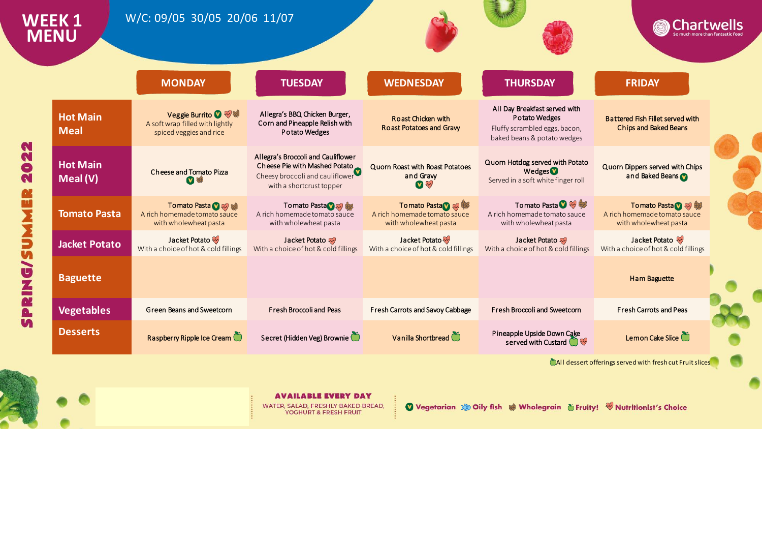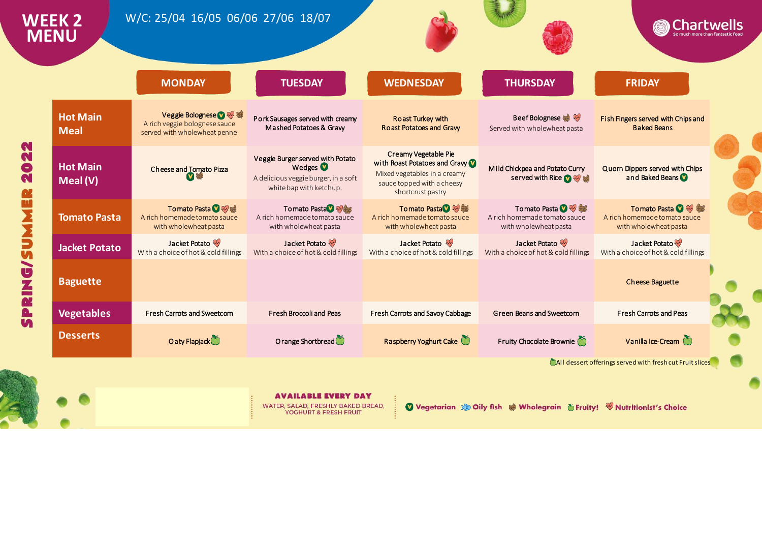|                                | <b>MONDAY</b>                                                                           | <b>TUESDAY</b>                                                                                                             | <b>WEDNESDAY</b>                                                                                                                        | <b>THURSDAY</b>                                                                | <b>FRIDAY</b>                                                                  |
|--------------------------------|-----------------------------------------------------------------------------------------|----------------------------------------------------------------------------------------------------------------------------|-----------------------------------------------------------------------------------------------------------------------------------------|--------------------------------------------------------------------------------|--------------------------------------------------------------------------------|
| <b>Hot Main</b><br><b>Meal</b> | Veggie Bolognese ? ※ 等<br>A rich veggie bolognese sauce<br>served with wholewheat penne | Pork Sausages served with creamy<br>Mashed Potatoes & Gravy                                                                | <b>Roast Turkey with</b><br><b>Roast Potatoes and Gravy</b>                                                                             | Beef Bolognese<br>Served with wholewheat pasta                                 | Fish Fingers served with Chips and<br><b>Baked Beans</b>                       |
| <b>Hot Main</b><br>Meal (V)    | Cheese and Tomato Pizza                                                                 | Veggie Burger served with Potato<br>Wedges <sup>1</sup><br>A delicious veggie burger, in a soft<br>white bap with ketchup. | Creamy Vegetable Pie<br>with Roast Potatoes and Graw<br>Mixed vegetables in a creamy<br>sauce topped with a cheesy<br>shortcrust pastry | Mild Chickpea and Potato Curry<br>served with Rice <b>O</b>                    | Quorn Dippers served with Chips<br>and Baked Beans                             |
| <b>Tomato Pasta</b>            | Tomato Pasta 2 彩導<br>A rich homemade tomato sauce<br>with wholewheat pasta              | To mato Pasta 7<br>A rich homemade tomato sauce<br>with wholewheat pasta                                                   | Tomato Pasta 3<br>A rich homemade tomato sauce<br>with wholewheat pasta                                                                 | Tomato Pasta <b>O</b><br>A rich homemade tomato sauce<br>with wholewheat pasta | Tomato Pasta <b>O</b><br>A rich homemade tomato sauce<br>with wholewheat pasta |
| <b>Jacket Potato</b>           | Jacket Potato<br>With a choice of hot & cold fillings                                   | Jacket Potato<br>With a choice of hot & cold fillings                                                                      | Jacket Potato<br>With a choice of hot & cold fillings                                                                                   | Jacket Potato<br>With a choice of hot & cold fillings                          | Jacket Potato<br>With a choice of hot & cold fillings                          |
| <b>Baguette</b>                |                                                                                         |                                                                                                                            |                                                                                                                                         |                                                                                | <b>Cheese Baguette</b>                                                         |
| <b>Vegetables</b>              | <b>Fresh Carrots and Sweetcorn</b>                                                      | Fresh Broccoli and Peas                                                                                                    | Fresh Carrots and Savoy Cabbage                                                                                                         | Green Beans and Sweetcorn                                                      | <b>Fresh Carrots and Peas</b>                                                  |
| <b>Desserts</b>                | O a ty Flapjack                                                                         | O range Shortbread                                                                                                         | Raspberry Yoghurt Cake                                                                                                                  | Fruity Chocolate Brownie                                                       | Vanilla Ice-Cream                                                              |